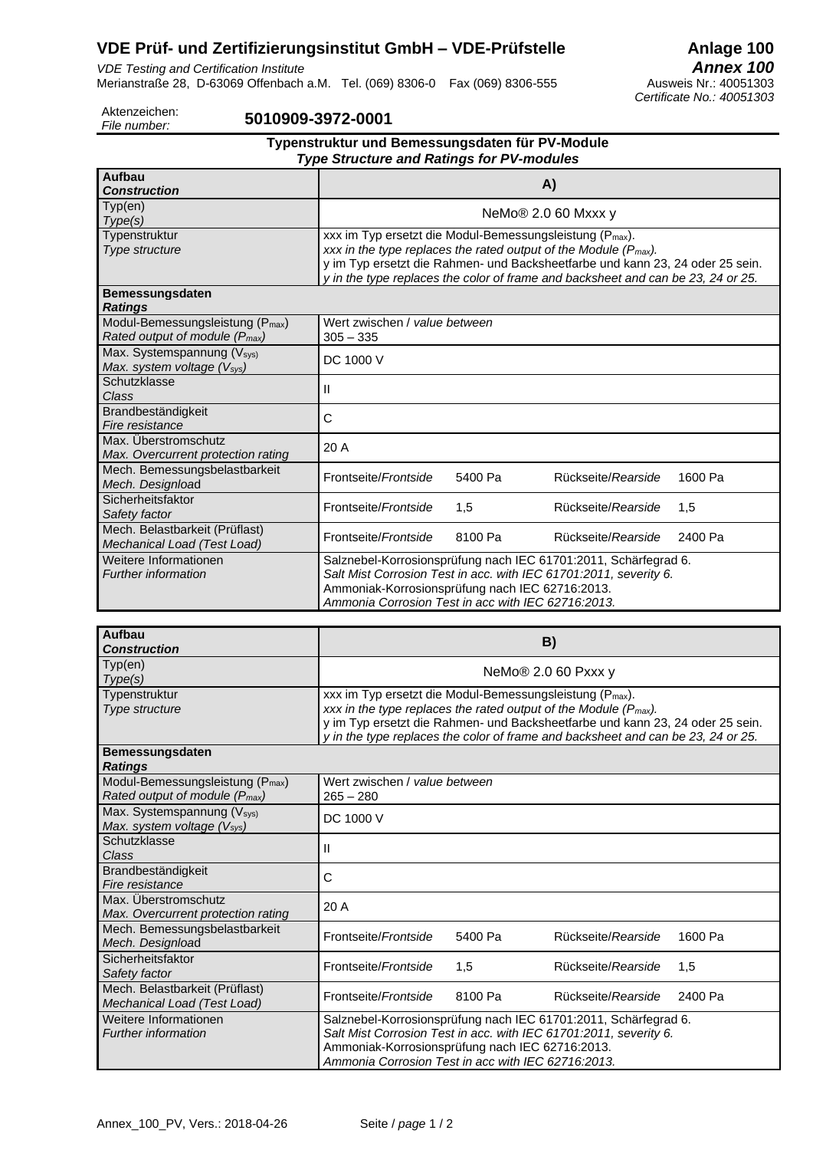# **VDE Prüf- und Zertifizierungsinstitut GmbH – VDE-Prüfstelle** Anlage 100<br>*VDE Testing and Certification Institute*

*VDE Testing and Certification Institute Annex 100* Merianstraße 28, D-63069 Offenbach a.M. Tel. (069) 8306-0 Fax (069) 8306-555

*Certificate No.: 40051303*

Aktenzeichen:<br>File number:

#### *File number:* **5010909-3972-0001**

| Typenstruktur und Bemessungsdaten für PV-Module<br><b>Type Structure and Ratings for PV-modules</b> |                                                                                                                                                                                                                                                                                                                            |         |                    |         |  |  |  |
|-----------------------------------------------------------------------------------------------------|----------------------------------------------------------------------------------------------------------------------------------------------------------------------------------------------------------------------------------------------------------------------------------------------------------------------------|---------|--------------------|---------|--|--|--|
| <b>Aufbau</b><br><b>Construction</b>                                                                | A)                                                                                                                                                                                                                                                                                                                         |         |                    |         |  |  |  |
| Type(en)<br>Type(s)                                                                                 | NeMo® 2.0 60 Mxxx y                                                                                                                                                                                                                                                                                                        |         |                    |         |  |  |  |
| Typenstruktur<br>Type structure                                                                     | xxx im Typ ersetzt die Modul-Bemessungsleistung (P <sub>max</sub> ).<br>xxx in the type replaces the rated output of the Module ( $P_{\text{max}}$ ).<br>y im Typ ersetzt die Rahmen- und Backsheetfarbe und kann 23, 24 oder 25 sein.<br>y in the type replaces the color of frame and backsheet and can be 23, 24 or 25. |         |                    |         |  |  |  |
| <b>Bemessungsdaten</b><br><b>Ratings</b>                                                            |                                                                                                                                                                                                                                                                                                                            |         |                    |         |  |  |  |
| Modul-Bemessungsleistung (P <sub>max</sub> )<br>Rated output of module (P <sub>max</sub> )          | Wert zwischen / value between<br>$305 - 335$                                                                                                                                                                                                                                                                               |         |                    |         |  |  |  |
| Max. Systemspannung (Vsys)<br>Max. system voltage (Vsys)                                            | DC 1000 V                                                                                                                                                                                                                                                                                                                  |         |                    |         |  |  |  |
| Schutzklasse<br>Class                                                                               | Ш                                                                                                                                                                                                                                                                                                                          |         |                    |         |  |  |  |
| Brandbeständigkeit<br>Fire resistance                                                               | C                                                                                                                                                                                                                                                                                                                          |         |                    |         |  |  |  |
| Max. Überstromschutz<br>Max. Overcurrent protection rating                                          | 20 A                                                                                                                                                                                                                                                                                                                       |         |                    |         |  |  |  |
| Mech. Bemessungsbelastbarkeit<br>Mech. Designload                                                   | Frontseite/ <i>Frontside</i>                                                                                                                                                                                                                                                                                               | 5400 Pa | Rückseite/Rearside | 1600 Pa |  |  |  |
| Sicherheitsfaktor<br>Safety factor                                                                  | Frontseite/Frontside                                                                                                                                                                                                                                                                                                       | 1,5     | Rückseite/Rearside | 1,5     |  |  |  |
| Mech. Belastbarkeit (Prüflast)<br>Mechanical Load (Test Load)                                       | Frontseite/Frontside                                                                                                                                                                                                                                                                                                       | 8100 Pa | Rückseite/Rearside | 2400 Pa |  |  |  |
| Weitere Informationen<br><b>Further information</b>                                                 | Salznebel-Korrosionsprüfung nach IEC 61701:2011, Schärfegrad 6.<br>Salt Mist Corrosion Test in acc. with IEC 61701:2011, severity 6.<br>Ammoniak-Korrosionsprüfung nach IEC 62716:2013.<br>Ammonia Corrosion Test in acc with IEC 62716:2013.                                                                              |         |                    |         |  |  |  |

| Aufbau<br><b>Construction</b>                                                              | B)                                                                                                                                                                                                                                                                                                                  |         |                    |         |  |
|--------------------------------------------------------------------------------------------|---------------------------------------------------------------------------------------------------------------------------------------------------------------------------------------------------------------------------------------------------------------------------------------------------------------------|---------|--------------------|---------|--|
| Typ(en)<br>Type(s)                                                                         | NeMo <sup>®</sup> 2.0 60 Pxxx y                                                                                                                                                                                                                                                                                     |         |                    |         |  |
| Typenstruktur<br>Type structure                                                            | xxx im Typ ersetzt die Modul-Bemessungsleistung (P <sub>max</sub> ).<br>xxx in the type replaces the rated output of the Module ( $P_{max}$ ).<br>y im Typ ersetzt die Rahmen- und Backsheetfarbe und kann 23, 24 oder 25 sein.<br>y in the type replaces the color of frame and backsheet and can be 23, 24 or 25. |         |                    |         |  |
| <b>Bemessungsdaten</b><br><b>Ratings</b>                                                   |                                                                                                                                                                                                                                                                                                                     |         |                    |         |  |
| Modul-Bemessungsleistung (P <sub>max</sub> )<br>Rated output of module (P <sub>max</sub> ) | Wert zwischen / value between<br>$265 - 280$                                                                                                                                                                                                                                                                        |         |                    |         |  |
| Max. Systemspannung (Vsys)<br>Max. system voltage (Vsys)                                   | DC 1000 V                                                                                                                                                                                                                                                                                                           |         |                    |         |  |
| Schutzklasse<br>Class                                                                      | Ш                                                                                                                                                                                                                                                                                                                   |         |                    |         |  |
| Brandbeständigkeit<br>Fire resistance                                                      | C                                                                                                                                                                                                                                                                                                                   |         |                    |         |  |
| Max. Überstromschutz<br>Max. Overcurrent protection rating                                 | 20 A                                                                                                                                                                                                                                                                                                                |         |                    |         |  |
| Mech. Bemessungsbelastbarkeit<br>Mech. Designload                                          | Frontseite/Frontside                                                                                                                                                                                                                                                                                                | 5400 Pa | Rückseite/Rearside | 1600 Pa |  |
| Sicherheitsfaktor<br>Safety factor                                                         | Frontseite/ <i>Frontside</i>                                                                                                                                                                                                                                                                                        | 1,5     | Rückseite/Rearside | 1,5     |  |
| Mech. Belastbarkeit (Prüflast)<br>Mechanical Load (Test Load)                              | Frontseite/Frontside                                                                                                                                                                                                                                                                                                | 8100 Pa | Rückseite/Rearside | 2400 Pa |  |
| Weitere Informationen<br><b>Further information</b>                                        | Salznebel-Korrosionsprüfung nach IEC 61701:2011, Schärfegrad 6.<br>Salt Mist Corrosion Test in acc. with IEC 61701:2011, severity 6.<br>Ammoniak-Korrosionsprüfung nach IEC 62716:2013.<br>Ammonia Corrosion Test in acc with IEC 62716:2013.                                                                       |         |                    |         |  |